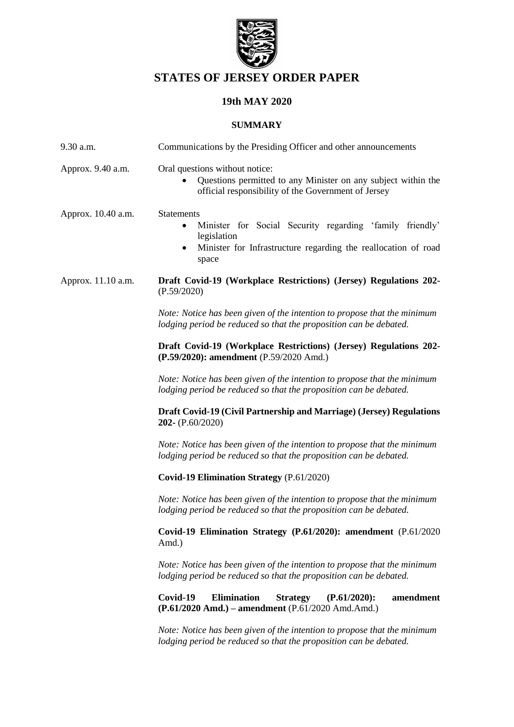

# **STATES OF JERSEY ORDER PAPER**

# **19th MAY 2020**

#### **SUMMARY**

| $9.30$ a.m.        | Communications by the Presiding Officer and other announcements                                                                                                                      |  |
|--------------------|--------------------------------------------------------------------------------------------------------------------------------------------------------------------------------------|--|
| Approx. 9.40 a.m.  | Oral questions without notice:<br>Questions permitted to any Minister on any subject within the<br>$\bullet$<br>official responsibility of the Government of Jersey                  |  |
| Approx. 10.40 a.m. | <b>Statements</b><br>Minister for Social Security regarding 'family friendly'<br>$\bullet$<br>legislation<br>Minister for Infrastructure regarding the reallocation of road<br>space |  |
| Approx. 11.10 a.m. | Draft Covid-19 (Workplace Restrictions) (Jersey) Regulations 202-<br>(P.59/2020)                                                                                                     |  |
|                    | Note: Notice has been given of the intention to propose that the minimum<br>lodging period be reduced so that the proposition can be debated.                                        |  |
|                    | Draft Covid-19 (Workplace Restrictions) (Jersey) Regulations 202-<br>(P.59/2020): amendment (P.59/2020 Amd.)                                                                         |  |
|                    | Note: Notice has been given of the intention to propose that the minimum<br>lodging period be reduced so that the proposition can be debated.                                        |  |
|                    | Draft Covid-19 (Civil Partnership and Marriage) (Jersey) Regulations<br>202- (P.60/2020)                                                                                             |  |
|                    | Note: Notice has been given of the intention to propose that the minimum<br>lodging period be reduced so that the proposition can be debated.                                        |  |
|                    | Covid-19 Elimination Strategy (P.61/2020)                                                                                                                                            |  |
|                    | Note: Notice has been given of the intention to propose that the minimum<br>lodging period be reduced so that the proposition can be debated.                                        |  |
|                    | Covid-19 Elimination Strategy (P.61/2020): amendment (P.61/2020)<br>Amd.)                                                                                                            |  |
|                    | Note: Notice has been given of the intention to propose that the minimum<br>lodging period be reduced so that the proposition can be debated.                                        |  |
|                    | Covid-19<br><b>Elimination</b><br><b>Strategy</b><br>$(P.61/2020)$ :<br>amendment<br>(P.61/2020 Amd.) – amendment (P.61/2020 Amd.Amd.)                                               |  |
|                    | Note: Notice has been given of the intention to propose that the minimum<br>lodging period be reduced so that the proposition can be debated.                                        |  |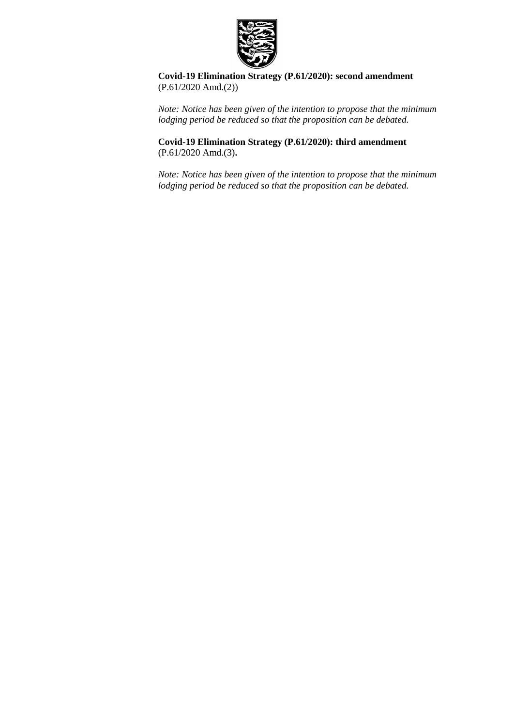

**Covid-19 Elimination Strategy (P.61/2020): second amendment** (P.61/2020 Amd.(2))

*Note: Notice has been given of the intention to propose that the minimum lodging period be reduced so that the proposition can be debated.*

**[Covid-19 Elimination Strategy \(P.61/2020\): third amendment](https://statesassembly.gov.je/AssemblyPropositions/2020/P.61-2020Amd(3).pdf)** [\(P.61/2020](https://statesassembly.gov.je/AssemblyPropositions/2020/P.61-2020Amd(3).pdf) Amd.(3)**.**

*Note: Notice has been given of the intention to propose that the minimum lodging period be reduced so that the proposition can be debated.*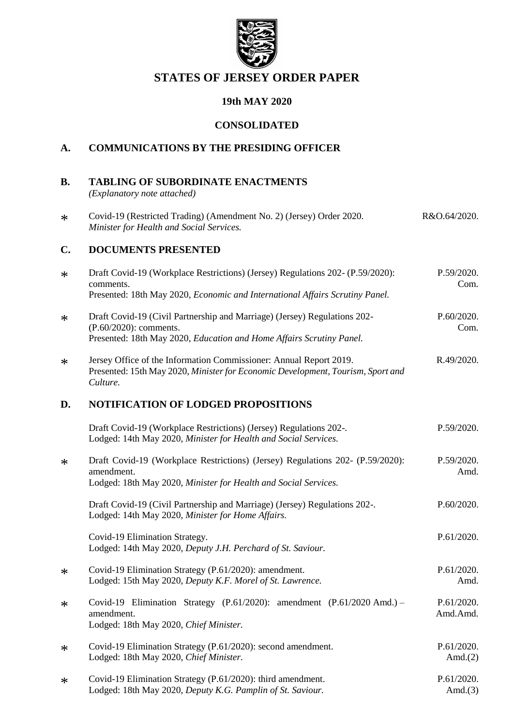

# **STATES OF JERSEY ORDER PAPER**

# **19th MAY 2020**

#### **CONSOLIDATED**

## **A. COMMUNICATIONS BY THE PRESIDING OFFICER**

**B. TABLING OF SUBORDINATE ENACTMENTS**

*(Explanatory note attached)*

\* [Covid-19 \(Restricted Trading\) \(Amendment No. 2\) \(Jersey\) Order 2020.](https://www.jerseylaw.je/laws/enacted/Pages/RO-064-2020.aspx) *[Minister for Health and Social Services.](https://www.jerseylaw.je/laws/enacted/Pages/RO-064-2020.aspx)* [R&O.64/2020.](https://www.jerseylaw.je/laws/enacted/Pages/RO-064-2020.aspx)

#### **C. DOCUMENTS PRESENTED**

| $\ast$ | Draft Covid-19 (Workplace Restrictions) (Jersey) Regulations 202- (P.59/2020):<br>comments.<br>Presented: 18th May 2020, Economic and International Affairs Scrutiny Panel. | P.59/2020.<br>Com.       |
|--------|-----------------------------------------------------------------------------------------------------------------------------------------------------------------------------|--------------------------|
| $\ast$ | Draft Covid-19 (Civil Partnership and Marriage) (Jersey) Regulations 202-<br>(P.60/2020): comments.<br>Presented: 18th May 2020, Education and Home Affairs Scrutiny Panel. | P.60/2020.<br>Com.       |
| $\ast$ | Jersey Office of the Information Commissioner: Annual Report 2019.<br>Presented: 15th May 2020, Minister for Economic Development, Tourism, Sport and<br>Culture.           | R.49/2020.               |
| D.     | <b>NOTIFICATION OF LODGED PROPOSITIONS</b>                                                                                                                                  |                          |
|        | Draft Covid-19 (Workplace Restrictions) (Jersey) Regulations 202-.<br>Lodged: 14th May 2020, Minister for Health and Social Services.                                       | P.59/2020.               |
| $\ast$ | Draft Covid-19 (Workplace Restrictions) (Jersey) Regulations 202- (P.59/2020):<br>amendment.<br>Lodged: 18th May 2020, Minister for Health and Social Services.             | P.59/2020.<br>Amd.       |
|        | Draft Covid-19 (Civil Partnership and Marriage) (Jersey) Regulations 202-.<br>Lodged: 14th May 2020, Minister for Home Affairs.                                             | P.60/2020.               |
|        | Covid-19 Elimination Strategy.<br>Lodged: 14th May 2020, Deputy J.H. Perchard of St. Saviour.                                                                               | P.61/2020.               |
| $\ast$ | Covid-19 Elimination Strategy (P.61/2020): amendment.<br>Lodged: 15th May 2020, Deputy K.F. Morel of St. Lawrence.                                                          | P.61/2020.<br>Amd.       |
| $\ast$ | Covid-19 Elimination Strategy (P.61/2020): amendment (P.61/2020 Amd.) -<br>amendment.<br>Lodged: 18th May 2020, Chief Minister.                                             | P.61/2020.<br>Amd.Amd.   |
| $\ast$ | Covid-19 Elimination Strategy (P.61/2020): second amendment.<br>Lodged: 18th May 2020, Chief Minister.                                                                      | P.61/2020.<br>Amd. $(2)$ |
| $\ast$ | Covid-19 Elimination Strategy (P.61/2020): third amendment.<br>Lodged: 18th May 2020, Deputy K.G. Pamplin of St. Saviour.                                                   | P.61/2020.<br>Amd. $(3)$ |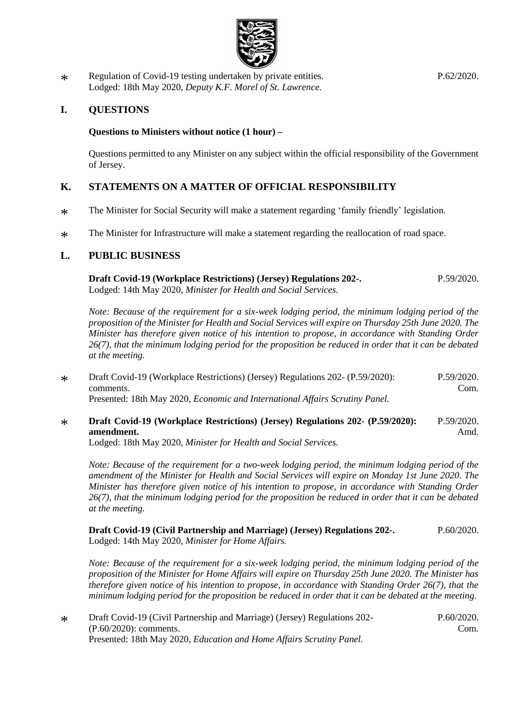

\* [Regulation of Covid-19 testing undertaken by private entities.](https://statesassembly.gov.je/AssemblyPropositions/2020/P.62-2020.pdf) [Lodged: 18th May 2020,](https://statesassembly.gov.je/AssemblyPropositions/2020/P.62-2020.pdf) *Deputy K.F. Morel of St. Lawrence.*

### **I. QUESTIONS**

#### **Questions to Ministers without notice (1 hour) –**

Questions permitted to any Minister on any subject within the official responsibility of the Government of Jersey.

#### **K. STATEMENTS ON A MATTER OF OFFICIAL RESPONSIBILITY**

- \* The Minister for Social Security will make a statement regarding 'family friendly' legislation.
- \* The Minister for Infrastructure will make a statement regarding the reallocation of road space.

#### **L. PUBLIC BUSINESS**

**[Draft Covid-19 \(Workplace Restrictions\) \(Jersey\) Regulations 202-.](https://statesassembly.gov.je/AssemblyPropositions/2020/P.59-2020.pdf)** Lodged: 14th May 2020, *[Minister for Health and Social Services.](https://statesassembly.gov.je/AssemblyPropositions/2020/P.59-2020.pdf)* [P.59/2020.](https://statesassembly.gov.je/AssemblyPropositions/2020/P.59-2020.pdf)

*Note: Because of the requirement for a six-week lodging period, the minimum lodging period of the proposition of the Minister for Health and Social Services will expire on Thursday 25th June 2020. The Minister has therefore given notice of his intention to propose, in accordance with Standing Order 26(7), that the minimum lodging period for the proposition be reduced in order that it can be debated at the meeting.*

\* [Draft Covid-19 \(Workplace Restrictions\) \(Jersey\) Regulations 202-](https://statesassembly.gov.je/AssemblyPropositions/2020/P.59-2020Com.pdf) (P.59/2020): [comments.](https://statesassembly.gov.je/AssemblyPropositions/2020/P.59-2020Com.pdf) Presented: 18th May 2020, *[Economic and International Affairs Scrutiny Panel.](https://statesassembly.gov.je/AssemblyPropositions/2020/P.59-2020Com.pdf)* [P.59/2020.](https://statesassembly.gov.je/AssemblyPropositions/2020/P.59-2020Com.pdf) [Com.](https://statesassembly.gov.je/AssemblyPropositions/2020/P.59-2020Com.pdf)

\* **[Draft Covid-19 \(Workplace Restrictions\) \(Jersey\) Regulations 202-](https://statesassembly.gov.je/AssemblyPropositions/2020/P.59-2020Amd.pdf) (P.59/2020): [amendment.](https://statesassembly.gov.je/AssemblyPropositions/2020/P.59-2020Amd.pdf)** [P.59/2020.](https://statesassembly.gov.je/AssemblyPropositions/2020/P.59-2020Amd.pdf) [Amd.](https://statesassembly.gov.je/AssemblyPropositions/2020/P.59-2020Amd.pdf)

Lodged: 18th May 2020, *[Minister for Health and Social Services.](https://statesassembly.gov.je/AssemblyPropositions/2020/P.59-2020Amd.pdf)*

*Note: Because of the requirement for a two-week lodging period, the minimum lodging period of the amendment of the Minister for Health and Social Services will expire on Monday 1st June 2020. The Minister has therefore given notice of his intention to propose, in accordance with Standing Order 26(7), that the minimum lodging period for the proposition be reduced in order that it can be debated at the meeting.*

**[Draft Covid-19 \(Civil Partnership and Marriage\) \(Jersey\) Regulations 202-.](https://statesassembly.gov.je/AssemblyPropositions/2020/P.60-2020.pdf)** Lodged: 14th May 2020, *[Minister for Home Affairs.](https://statesassembly.gov.je/AssemblyPropositions/2020/P.60-2020.pdf)* [P.60/2020.](https://statesassembly.gov.je/AssemblyPropositions/2020/P.60-2020.pdf)

*Note: Because of the requirement for a six-week lodging period, the minimum lodging period of the proposition of the Minister for Home Affairs will expire on Thursday 25th June 2020. The Minister has therefore given notice of his intention to propose, in accordance with Standing Order 26(7), that the minimum lodging period for the proposition be reduced in order that it can be debated at the meeting.*

\* [Draft Covid-19 \(Civil Partnership and Marriage\) \(Jersey\) Regulations 202-](https://statesassembly.gov.je/AssemblyPropositions/2020/P.60-2020Com.pdf) [\(P.60/2020\): comments.](https://statesassembly.gov.je/AssemblyPropositions/2020/P.60-2020Com.pdf) Presented: 18th May 2020, *[Education and Home Affairs Scrutiny Panel.](https://statesassembly.gov.je/AssemblyPropositions/2020/P.60-2020Com.pdf)* [P.60/2020.](https://statesassembly.gov.je/AssemblyPropositions/2020/P.60-2020Com.pdf) [Com.](https://statesassembly.gov.je/AssemblyPropositions/2020/P.60-2020Com.pdf)

[P.62/2020.](https://statesassembly.gov.je/AssemblyPropositions/2020/P.62-2020.pdf)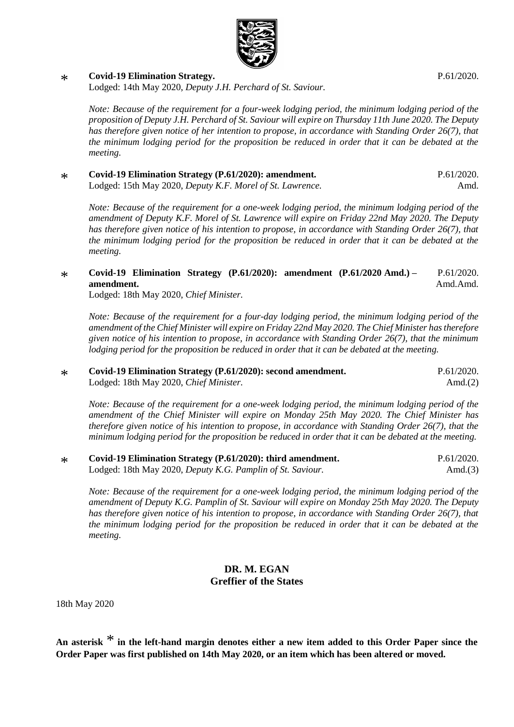

#### \* **[Covid-19 Elimination Strategy.](https://statesassembly.gov.je/AssemblyPropositions/2020/P.61-2020.pdf)**

Lodged: 14th May 2020, *[Deputy J.H. Perchard of St.](https://statesassembly.gov.je/AssemblyPropositions/2020/P.61-2020.pdf) Saviour.*

*Note: Because of the requirement for a four-week lodging period, the minimum lodging period of the proposition of Deputy J.H. Perchard of St. Saviour will expire on Thursday 11th June 2020. The Deputy has therefore given notice of her intention to propose, in accordance with Standing Order 26(7), that the minimum lodging period for the proposition be reduced in order that it can be debated at the meeting.*

\* **[Covid-19 Elimination Strategy \(P.61/2020\): amendment.](https://statesassembly.gov.je/AssemblyPropositions/2020/P.61-2020Amd.pdf)** [Lodged: 15th May 2020,](https://statesassembly.gov.je/AssemblyPropositions/2020/P.61-2020Amd.pdf) *Deputy K.F. Morel of St. Lawrence.* [P.61/2020.](https://statesassembly.gov.je/AssemblyPropositions/2020/P.61-2020Amd.pdf) [Amd.](https://statesassembly.gov.je/AssemblyPropositions/2020/P.61-2020Amd.pdf)

*Note: Because of the requirement for a one-week lodging period, the minimum lodging period of the amendment of Deputy K.F. Morel of St. Lawrence will expire on Friday 22nd May 2020. The Deputy has therefore given notice of his intention to propose, in accordance with Standing Order 26(7), that the minimum lodging period for the proposition be reduced in order that it can be debated at the meeting.*

\* **[Covid-19 Elimination Strategy \(P.61/2020\): amendment \(P.61/2020](https://statesassembly.gov.je/AssemblyPropositions/2020/P.61-2020AmdAmd.pdf) Amd.) – [amendment.](https://statesassembly.gov.je/AssemblyPropositions/2020/P.61-2020AmdAmd.pdf)** [P.61/2020.](https://statesassembly.gov.je/AssemblyPropositions/2020/P.61-2020AmdAmd.pdf) [Amd.Amd.](https://statesassembly.gov.je/AssemblyPropositions/2020/P.61-2020AmdAmd.pdf)

[Lodged: 18th May 2020,](https://statesassembly.gov.je/AssemblyPropositions/2020/P.61-2020AmdAmd.pdf) *Chief Minister.*

*Note: Because of the requirement for a four-day lodging period, the minimum lodging period of the amendment of the Chief Minister will expire on Friday 22nd May 2020. The Chief Minister has therefore given notice of his intention to propose, in accordance with Standing Order 26(7), that the minimum lodging period for the proposition be reduced in order that it can be debated at the meeting.*

\* **Covid-19 Elimination Strategy (P.61/2020): second amendment.** Lodged: 18th May 2020, *Chief Minister.* P.61/2020. Amd.(2)

*Note: Because of the requirement for a one-week lodging period, the minimum lodging period of the amendment of the Chief Minister will expire on Monday 25th May 2020. The Chief Minister has therefore given notice of his intention to propose, in accordance with Standing Order 26(7), that the minimum lodging period for the proposition be reduced in order that it can be debated at the meeting.*

| Covid-19 Elimination Strategy (P.61/2020): third amendment. | P.61/2020. |
|-------------------------------------------------------------|------------|
| Lodged: 18th May 2020, Deputy K.G. Pamplin of St. Saviour.  | Amd. $(3)$ |

*Note: Because of the requirement for a one-week lodging period, the minimum lodging period of the amendment of Deputy K.G. Pamplin of St. Saviour will expire on Monday 25th May 2020. The Deputy has therefore given notice of his intention to propose, in accordance with Standing Order 26(7), that the minimum lodging period for the proposition be reduced in order that it can be debated at the meeting.*

#### **DR. M. EGAN Greffier of the States**

18th May 2020

**An asterisk** \* **in the left-hand margin denotes either a new item added to this Order Paper since the Order Paper was first published on 14th May 2020, or an item which has been altered or moved.**

[P.61/2020.](https://statesassembly.gov.je/AssemblyPropositions/2020/P.61-2020.pdf)